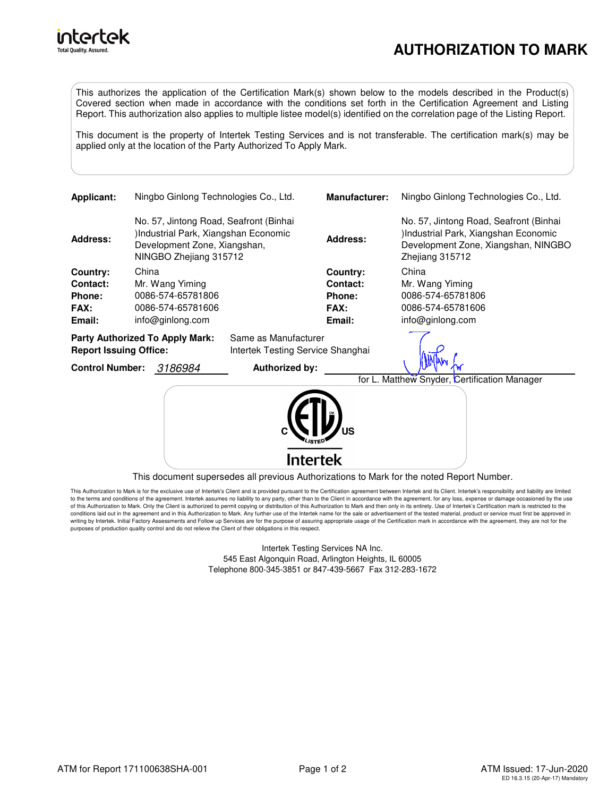

This authorizes the application of the Certification Mark(s) shown below to the models described in the Product(s) Covered section when made in accordance with the conditions set forth in the Certification Agreement and Listing Report. This authorization also applies to multiple listee model(s) identified on the correlation page of the Listing Report.

This document is the property of Intertek Testing Services and is not transferable. The certification mark(s) may be applied only at the location of the Party Authorized To Apply Mark.

| <b>Applicant:</b>                                                                                                                                          |       | Ningbo Ginlong Technologies Co., Ltd.                                                                                   |                      | <b>Manufacturer:</b>                                    | Ningbo Ginlong Technologies Co., Ltd.                                                                                                    |
|------------------------------------------------------------------------------------------------------------------------------------------------------------|-------|-------------------------------------------------------------------------------------------------------------------------|----------------------|---------------------------------------------------------|------------------------------------------------------------------------------------------------------------------------------------------|
| No. 57, Jintong Road, Seafront (Binhai<br>Industrial Park, Xiangshan Economic<br><b>Address:</b><br>Development Zone, Xiangshan,<br>NINGBO Zhejiang 315712 |       |                                                                                                                         |                      | <b>Address:</b>                                         | No. 57, Jintong Road, Seafront (Binhai<br>)Industrial Park, Xiangshan Economic<br>Development Zone, Xiangshan, NINGBO<br>Zhejiang 315712 |
| Country:<br>Contact:<br>Phone:<br>FAX:<br>Email:                                                                                                           | China | Mr. Wang Yiming<br>0086-574-65781806<br>0086-574-65781606<br>info@ginlong.com<br><b>Party Authorized To Apply Mark:</b> | Same as Manufacturer | Country:<br>Contact:<br>Phone:<br><b>FAX:</b><br>Email: | China<br>Mr. Wang Yiming<br>0086-574-65781806<br>0086-574-65781606<br>info@ginlong.com                                                   |
| <b>Report Issuing Office:</b><br>3186984<br><b>Control Number:</b>                                                                                         |       | Intertek Testing Service Shanghai<br>Authorized by:                                                                     |                      |                                                         |                                                                                                                                          |
|                                                                                                                                                            |       |                                                                                                                         |                      |                                                         | for L. Matthew Snyder, Certification Manager                                                                                             |
|                                                                                                                                                            |       |                                                                                                                         | <b>ntertek</b>       |                                                         |                                                                                                                                          |

This document supersedes all previous Authorizations to Mark for the noted Report Number.

This Authorization to Mark is for the exclusive use of Intertek's Client and is provided pursuant to the Certification agreement between Intertek and its Client. Intertek's responsibility and liability are limited to the terms and conditions of the agreement. Intertek assumes no liability to any party, other than to the Client in accordance with the agreement, for any loss, expense or damage occasioned by the use of this Authorization to Mark. Only the Client is authorized to permit copying or distribution of this Authorization to Mark and then only in its entirety. Use of Intertek's Certification mark is restricted to the<br>conditio writing by Intertek. Initial Factory Assessments and Follow up Services are for the purpose of assuring appropriate usage of the Certification mark in accordance with the agreement, they are not for the purposes of production quality control and do not relieve the Client of their obligations in this respect.

> Intertek Testing Services NA Inc. 545 East Algonquin Road, Arlington Heights, IL 60005 Telephone 800-345-3851 or 847-439-5667 Fax 312-283-1672